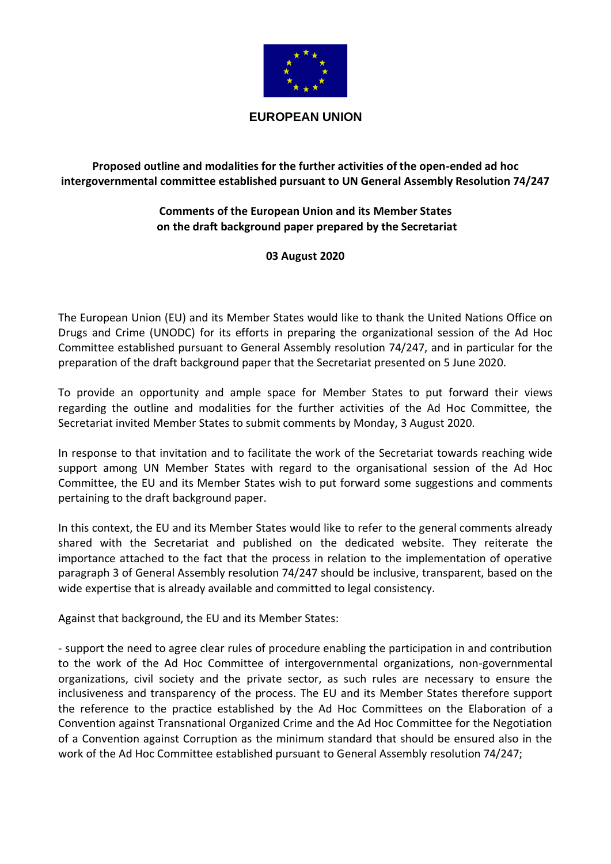

## **EUROPEAN UNION**

## **Proposed outline and modalities for the further activities of the open-ended ad hoc intergovernmental committee established pursuant to UN General Assembly Resolution 74/247**

## **Comments of the European Union and its Member States on the draft background paper prepared by the Secretariat**

## **03 August 2020**

The European Union (EU) and its Member States would like to thank the United Nations Office on Drugs and Crime (UNODC) for its efforts in preparing the organizational session of the Ad Hoc Committee established pursuant to General Assembly resolution 74/247, and in particular for the preparation of the draft background paper that the Secretariat presented on 5 June 2020.

To provide an opportunity and ample space for Member States to put forward their views regarding the outline and modalities for the further activities of the Ad Hoc Committee, the Secretariat invited Member States to submit comments by Monday, 3 August 2020.

In response to that invitation and to facilitate the work of the Secretariat towards reaching wide support among UN Member States with regard to the organisational session of the Ad Hoc Committee, the EU and its Member States wish to put forward some suggestions and comments pertaining to the draft background paper.

In this context, the EU and its Member States would like to refer to the general comments already shared with the Secretariat and published on the dedicated website. They reiterate the importance attached to the fact that the process in relation to the implementation of operative paragraph 3 of General Assembly resolution 74/247 should be inclusive, transparent, based on the wide expertise that is already available and committed to legal consistency.

Against that background, the EU and its Member States:

- support the need to agree clear rules of procedure enabling the participation in and contribution to the work of the Ad Hoc Committee of intergovernmental organizations, non-governmental organizations, civil society and the private sector, as such rules are necessary to ensure the inclusiveness and transparency of the process. The EU and its Member States therefore support the reference to the practice established by the Ad Hoc Committees on the Elaboration of a Convention against Transnational Organized Crime and the Ad Hoc Committee for the Negotiation of a Convention against Corruption as the minimum standard that should be ensured also in the work of the Ad Hoc Committee established pursuant to General Assembly resolution 74/247;